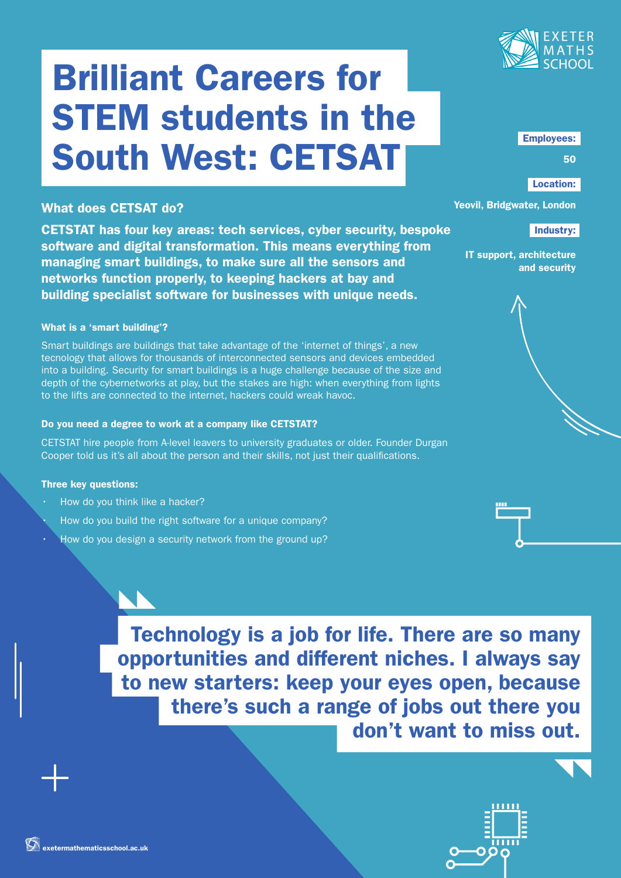

# Brilliant Careers for STEM students in the South West: CETSAT

### What does CETSAT do?

CETSTAT has four key areas: tech services, cyber security, bespoke software and digital transformation. This means everything from managing smart buildings, to make sure all the sensors and networks function properly, to keeping hackers at bay and building specialist software for businesses with unique needs.

#### What is a 'smart building'?

Smart buildings are buildings that take advantage of the 'internet of things', a new tecnology that allows for thousands of interconnected sensors and devices embedded into a building. Security for smart buildings is a huge challenge because of the size and depth of the cybernetworks at play, but the stakes are high: when everything from lights to the lifts are connected to the internet, hackers could wreak havoc.

#### Do you need a degree to work at a company like CETSTAT?

CETSTAT hire people from A-level leavers to university graduates or older. Founder Durgan Cooper told us it's all about the person and their skills, not just their qualifications.

#### Three key questions:

- How do you think like a hacker?
- How do you build the right software for a unique company?
- How do you design a security network from the ground up?

Employees:

50

#### Location:

#### Yeovil, Bridgwater, London

#### Industry:

IT support, architecture and security



Technology is a job for life. There are so many opportunities and different niches. I always say to new starters: keep your eyes open, because there's such a range of jobs out there you don't want to miss out.